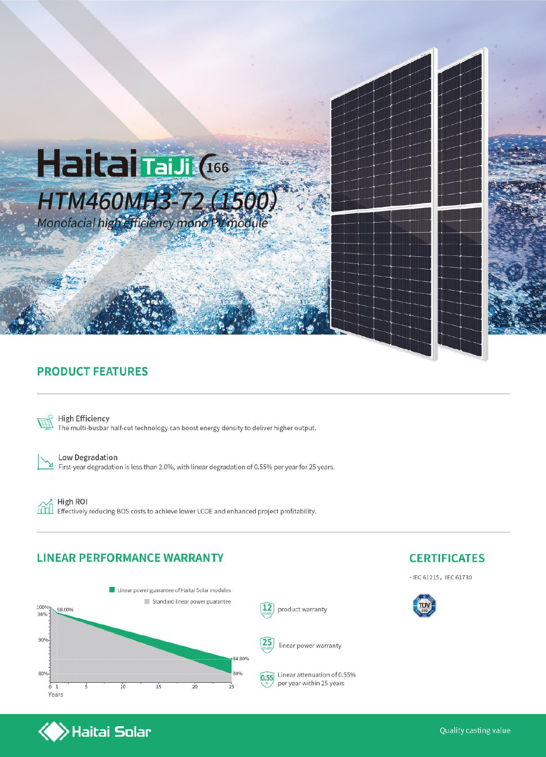

#### **PRODUCT FEATURES**



**High Efficiency** The multi-busbar half-cut technology can boost energy density to deliver higher output.



Low Degradation

First-year degradation is less than 2.0%, with linear degradation of 0.55% per year for 25 years.

 $f$ 

High ROI Effectively reducing BOS costs to achieve lower LCOE and enhanced project profitability.

#### **LINEAR PERFORMANCE WARRANTY**





**CERTIFICATES**